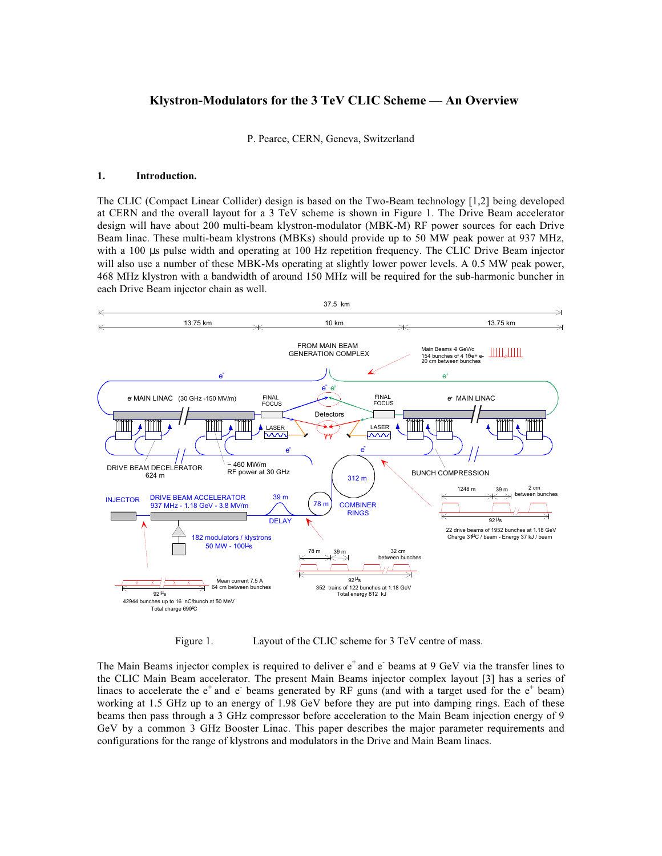# **Klystron-Modulators for the 3 TeV CLIC Scheme — An Overview**

P. Pearce, CERN, Geneva, Switzerland

#### **1. Introduction.**

The CLIC (Compact Linear Collider) design is based on the Two-Beam technology [1,2] being developed at CERN and the overall layout for a 3 TeV scheme is shown in Figure 1. The Drive Beam accelerator design will have about 200 multi-beam klystron-modulator (MBK-M) RF power sources for each Drive Beam linac. These multi-beam klystrons (MBKs) should provide up to 50 MW peak power at 937 MHz, with a 100 µs pulse width and operating at 100 Hz repetition frequency. The CLIC Drive Beam injector will also use a number of these MBK-Ms operating at slightly lower power levels. A 0.5 MW peak power, 468 MHz klystron with a bandwidth of around 150 MHz will be required for the sub-harmonic buncher in each Drive Beam injector chain as well.



Figure 1. Layout of the CLIC scheme for 3 TeV centre of mass.

The Main Beams injector complex is required to deliver  $e^+$  and  $e^-$  beams at 9 GeV via the transfer lines to the CLIC Main Beam accelerator. The present Main Beams injector complex layout [3] has a series of linacs to accelerate the  $e^+$  and  $e^-$  beams generated by RF guns (and with a target used for the  $e^+$  beam) working at 1.5 GHz up to an energy of 1.98 GeV before they are put into damping rings. Each of these beams then pass through a 3 GHz compressor before acceleration to the Main Beam injection energy of 9 GeV by a common 3 GHz Booster Linac. This paper describes the major parameter requirements and configurations for the range of klystrons and modulators in the Drive and Main Beam linacs.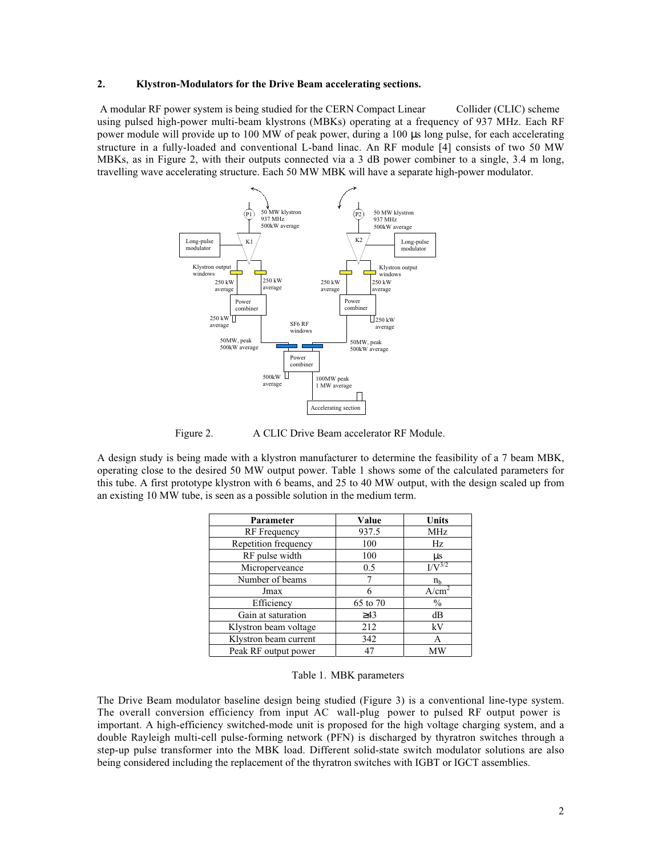#### **2. Klystron-Modulators for the Drive Beam accelerating sections.**

 A modular RF power system is being studied for the CERN Compact Linear Collider (CLIC) scheme using pulsed high-power multi-beam klystrons (MBKs) operating at a frequency of 937 MHz. Each RF power module will provide up to 100 MW of peak power, during a 100 µs long pulse, for each accelerating structure in a fully-loaded and conventional L-band linac. An RF module [4] consists of two 50 MW MBKs, as in Figure 2, with their outputs connected via a 3 dB power combiner to a single, 3.4 m long, travelling wave accelerating structure. Each 50 MW MBK will have a separate high-power modulator.



Figure 2. A CLIC Drive Beam accelerator RF Module.

A design study is being made with a klystron manufacturer to determine the feasibility of a 7 beam MBK, operating close to the desired 50 MW output power. Table 1 shows some of the calculated parameters for this tube. A first prototype klystron with 6 beams, and 25 to 40 MW output, with the design scaled up from an existing 10 MW tube, is seen as a possible solution in the medium term.

| Parameter             | Value     | <b>Units</b>                  |
|-----------------------|-----------|-------------------------------|
| <b>RF</b> Frequency   | 937.5     | <b>MHz</b>                    |
| Repetition frequency  | 100       | Hz                            |
| RF pulse width        | 100       | $\mu$ s                       |
| Microperveance        | 0.5       | $\overline{V}$ <sup>3/2</sup> |
| Number of beams       |           | n <sub>h</sub>                |
| Jmax                  | 6         | A/cm                          |
| Efficiency            | 65 to 70  | $\frac{0}{0}$                 |
| Gain at saturation    | $\geq$ 43 | dВ                            |
| Klystron beam voltage | 212       | kV                            |
| Klystron beam current | 342       | А                             |
| Peak RF output power  | 47        | MW                            |

Table 1. MBK parameters

The Drive Beam modulator baseline design being studied (Figure 3) is a conventional line-type system. The overall conversion efficiency from input AC wall-plug power to pulsed RF output power is important. A high-efficiency switched-mode unit is proposed for the high voltage charging system, and a double Rayleigh multi-cell pulse-forming network (PFN) is discharged by thyratron switches through a step-up pulse transformer into the MBK load. Different solid-state switch modulator solutions are also being considered including the replacement of the thyratron switches with IGBT or IGCT assemblies.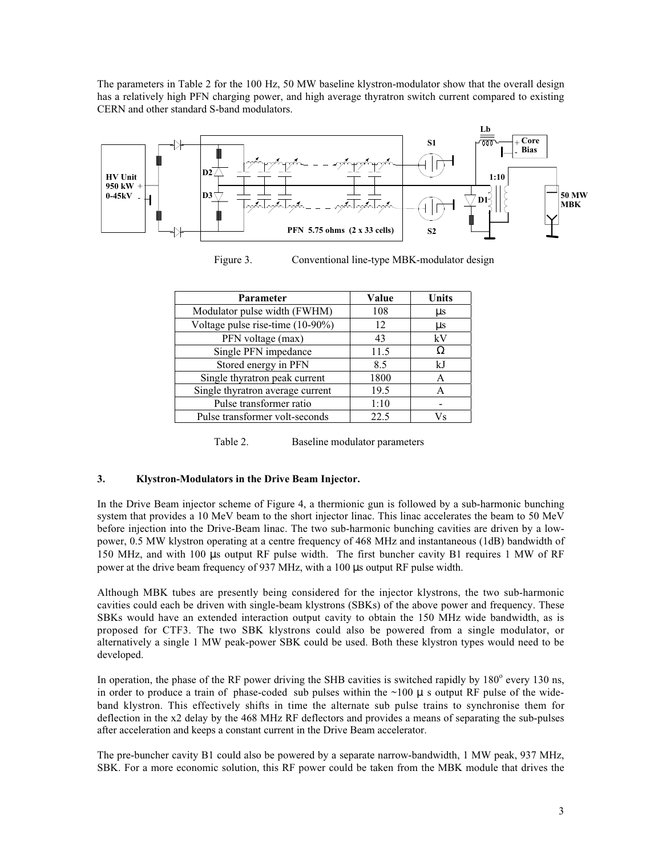The parameters in Table 2 for the 100 Hz, 50 MW baseline klystron-modulator show that the overall design has a relatively high PFN charging power, and high average thyratron switch current compared to existing CERN and other standard S-band modulators.



Figure 3. Conventional line-type MBK-modulator design

| <b>Parameter</b>                 | Value | Units |
|----------------------------------|-------|-------|
| Modulator pulse width (FWHM)     | 108   | μs    |
| Voltage pulse rise-time (10-90%) | 12    | us    |
| PFN voltage (max)                | 43    | kV    |
| Single PFN impedance             | 11.5  |       |
| Stored energy in PFN             | 8.5   | kJ    |
| Single thyratron peak current    | 1800  | A     |
| Single thyratron average current | 19.5  |       |
| Pulse transformer ratio          | 1:10  |       |
| Pulse transformer volt-seconds   | 22.5  | Vs    |

Table 2. Baseline modulator parameters

### **3. Klystron-Modulators in the Drive Beam Injector.**

In the Drive Beam injector scheme of Figure 4, a thermionic gun is followed by a sub-harmonic bunching system that provides a 10 MeV beam to the short injector linac. This linac accelerates the beam to 50 MeV before injection into the Drive-Beam linac. The two sub-harmonic bunching cavities are driven by a lowpower, 0.5 MW klystron operating at a centre frequency of 468 MHz and instantaneous (1dB) bandwidth of 150 MHz, and with 100 µs output RF pulse width. The first buncher cavity B1 requires 1 MW of RF power at the drive beam frequency of 937 MHz, with a 100 µs output RF pulse width.

Although MBK tubes are presently being considered for the injector klystrons, the two sub-harmonic cavities could each be driven with single-beam klystrons (SBKs) of the above power and frequency. These SBKs would have an extended interaction output cavity to obtain the 150 MHz wide bandwidth, as is proposed for CTF3. The two SBK klystrons could also be powered from a single modulator, or alternatively a single 1 MW peak-power SBK could be used. Both these klystron types would need to be developed.

In operation, the phase of the RF power driving the SHB cavities is switched rapidly by 180<sup>°</sup> every 130 ns, in order to produce a train of phase-coded sub pulses within the  $\sim$ 100  $\mu$  s output RF pulse of the wideband klystron. This effectively shifts in time the alternate sub pulse trains to synchronise them for deflection in the x2 delay by the 468 MHz RF deflectors and provides a means of separating the sub-pulses after acceleration and keeps a constant current in the Drive Beam accelerator.

The pre-buncher cavity B1 could also be powered by a separate narrow-bandwidth, 1 MW peak, 937 MHz, SBK. For a more economic solution, this RF power could be taken from the MBK module that drives the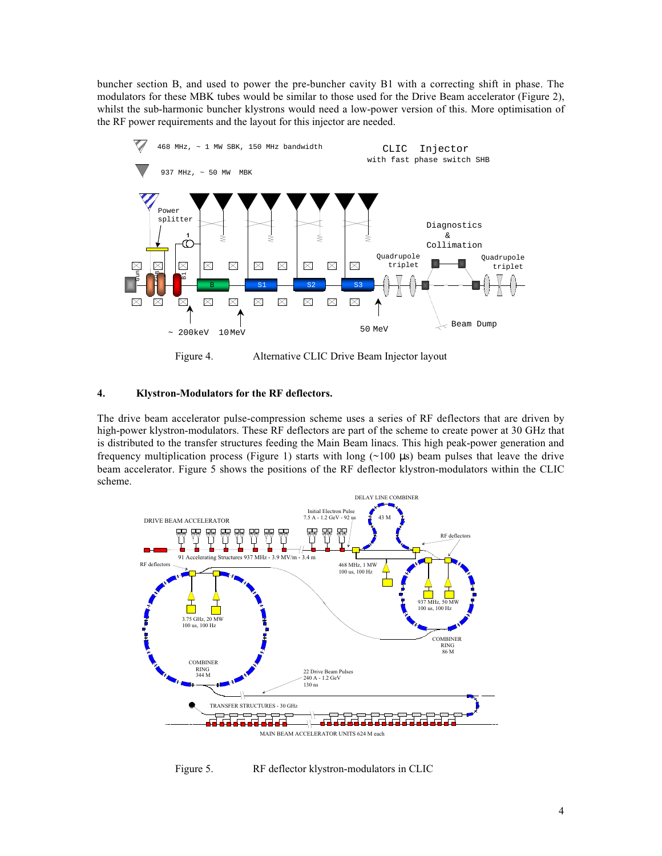buncher section B, and used to power the pre-buncher cavity B1 with a correcting shift in phase. The modulators for these MBK tubes would be similar to those used for the Drive Beam accelerator (Figure 2), whilst the sub-harmonic buncher klystrons would need a low-power version of this. More optimisation of the RF power requirements and the layout for this injector are needed.



Figure 4. Alternative CLIC Drive Beam Injector layout

### **4. Klystron-Modulators for the RF deflectors.**

The drive beam accelerator pulse-compression scheme uses a series of RF deflectors that are driven by high-power klystron-modulators. These RF deflectors are part of the scheme to create power at 30 GHz that is distributed to the transfer structures feeding the Main Beam linacs. This high peak-power generation and frequency multiplication process (Figure 1) starts with long  $(\sim 100 \text{ }\mu\text{s})$  beam pulses that leave the drive beam accelerator. Figure 5 shows the positions of the RF deflector klystron-modulators within the CLIC scheme.



Figure 5. RF deflector klystron-modulators in CLIC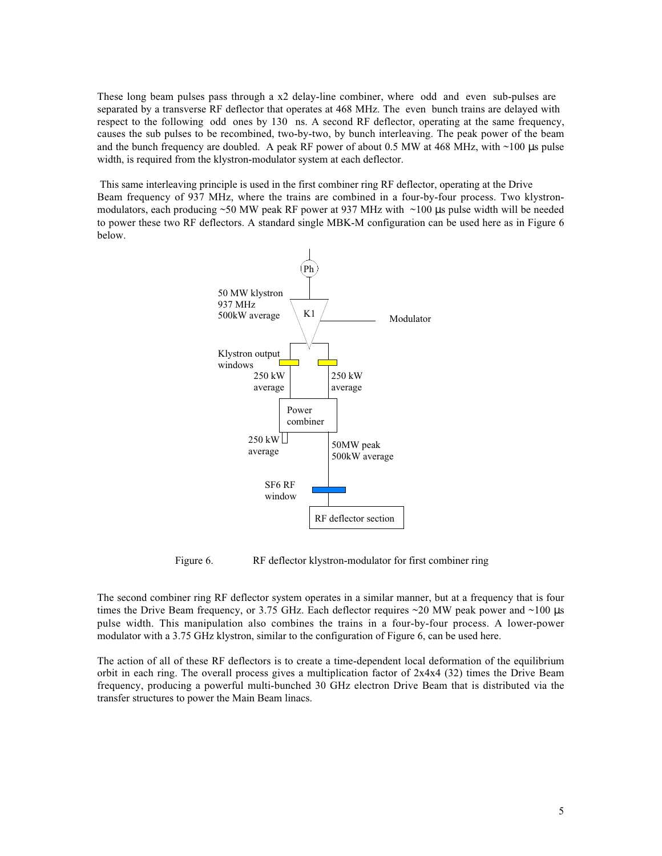These long beam pulses pass through a x2 delay-line combiner, where odd and even sub-pulses are separated by a transverse RF deflector that operates at 468 MHz. The even bunch trains are delayed with respect to the following odd ones by 130 ns. A second RF deflector, operating at the same frequency, causes the sub pulses to be recombined, two-by-two, by bunch interleaving. The peak power of the beam and the bunch frequency are doubled. A peak RF power of about 0.5 MW at 468 MHz, with  $\sim$ 100 µs pulse width, is required from the klystron-modulator system at each deflector.

 This same interleaving principle is used in the first combiner ring RF deflector, operating at the Drive Beam frequency of 937 MHz, where the trains are combined in a four-by-four process. Two klystronmodulators, each producing  $~50$  MW peak RF power at 937 MHz with  $~100$   $\mu$ s pulse width will be needed to power these two RF deflectors. A standard single MBK-M configuration can be used here as in Figure 6 below.



Figure 6. RF deflector klystron-modulator for first combiner ring

The second combiner ring RF deflector system operates in a similar manner, but at a frequency that is four times the Drive Beam frequency, or 3.75 GHz. Each deflector requires  $\sim$ 20 MW peak power and  $\sim$ 100 µs pulse width. This manipulation also combines the trains in a four-by-four process. A lower-power modulator with a 3.75 GHz klystron, similar to the configuration of Figure 6, can be used here.

The action of all of these RF deflectors is to create a time-dependent local deformation of the equilibrium orbit in each ring. The overall process gives a multiplication factor of 2x4x4 (32) times the Drive Beam frequency, producing a powerful multi-bunched 30 GHz electron Drive Beam that is distributed via the transfer structures to power the Main Beam linacs.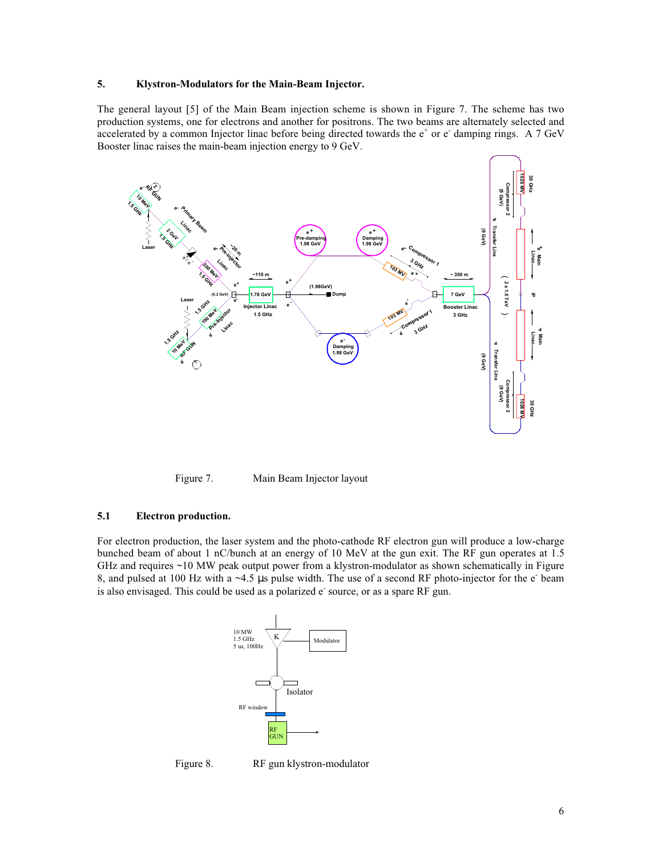#### **5. Klystron-Modulators for the Main-Beam Injector.**

The general layout [5] of the Main Beam injection scheme is shown in Figure 7. The scheme has two production systems, one for electrons and another for positrons. The two beams are alternately selected and accelerated by a common Injector linac before being directed towards the  $e^+$  or  $e^-$  damping rings. A 7 GeV Booster linac raises the main-beam injection energy to 9 GeV.



Figure 7. Main Beam Injector layout

#### **5.1 Electron production.**

For electron production, the laser system and the photo-cathode RF electron gun will produce a low-charge bunched beam of about 1 nC/bunch at an energy of 10 MeV at the gun exit. The RF gun operates at 1.5 GHz and requires ~10 MW peak output power from a klystron-modulator as shown schematically in Figure 8, and pulsed at 100 Hz with a  $\sim$ 4.5 µs pulse width. The use of a second RF photo-injector for the  $e^-$  beam is also envisaged. This could be used as a polarized e source, or as a spare RF gun.



Figure 8. RF gun klystron-modulator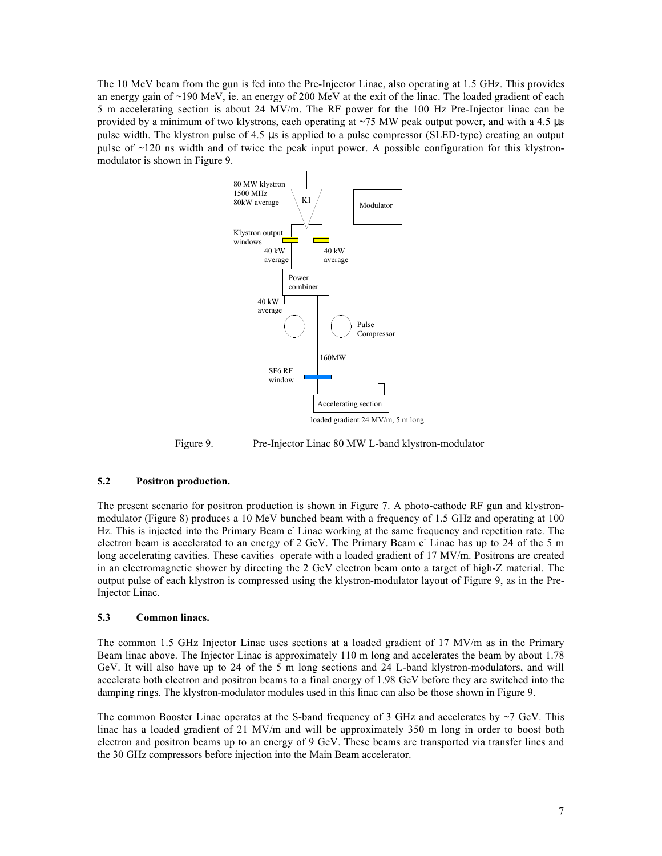The 10 MeV beam from the gun is fed into the Pre-Injector Linac, also operating at 1.5 GHz. This provides an energy gain of  $\sim$ 190 MeV, ie. an energy of 200 MeV at the exit of the linac. The loaded gradient of each 5 m accelerating section is about 24 MV/m. The RF power for the 100 Hz Pre-Injector linac can be provided by a minimum of two klystrons, each operating at  $\sim$ 75 MW peak output power, and with a 4.5 µs pulse width. The klystron pulse of 4.5 µs is applied to a pulse compressor (SLED-type) creating an output pulse of ~120 ns width and of twice the peak input power. A possible configuration for this klystronmodulator is shown in Figure 9.



Figure 9. Pre-Injector Linac 80 MW L-band klystron-modulator

#### **5.2 Positron production.**

The present scenario for positron production is shown in Figure 7. A photo-cathode RF gun and klystronmodulator (Figure 8) produces a 10 MeV bunched beam with a frequency of 1.5 GHz and operating at 100 Hz. This is injected into the Primary Beam e<sup>-</sup> Linac working at the same frequency and repetition rate. The electron beam is accelerated to an energy of 2 GeV. The Primary Beam e Linac has up to 24 of the 5 m long accelerating cavities. These cavities operate with a loaded gradient of 17 MV/m. Positrons are created in an electromagnetic shower by directing the 2 GeV electron beam onto a target of high-Z material. The output pulse of each klystron is compressed using the klystron-modulator layout of Figure 9, as in the Pre-Injector Linac.

#### **5.3 Common linacs.**

The common 1.5 GHz Injector Linac uses sections at a loaded gradient of 17 MV/m as in the Primary Beam linac above. The Injector Linac is approximately 110 m long and accelerates the beam by about 1.78 GeV. It will also have up to 24 of the 5 m long sections and 24 L-band klystron-modulators, and will accelerate both electron and positron beams to a final energy of 1.98 GeV before they are switched into the damping rings. The klystron-modulator modules used in this linac can also be those shown in Figure 9.

The common Booster Linac operates at the S-band frequency of 3 GHz and accelerates by  $\sim$ 7 GeV. This linac has a loaded gradient of 21 MV/m and will be approximately 350 m long in order to boost both electron and positron beams up to an energy of 9 GeV. These beams are transported via transfer lines and the 30 GHz compressors before injection into the Main Beam accelerator.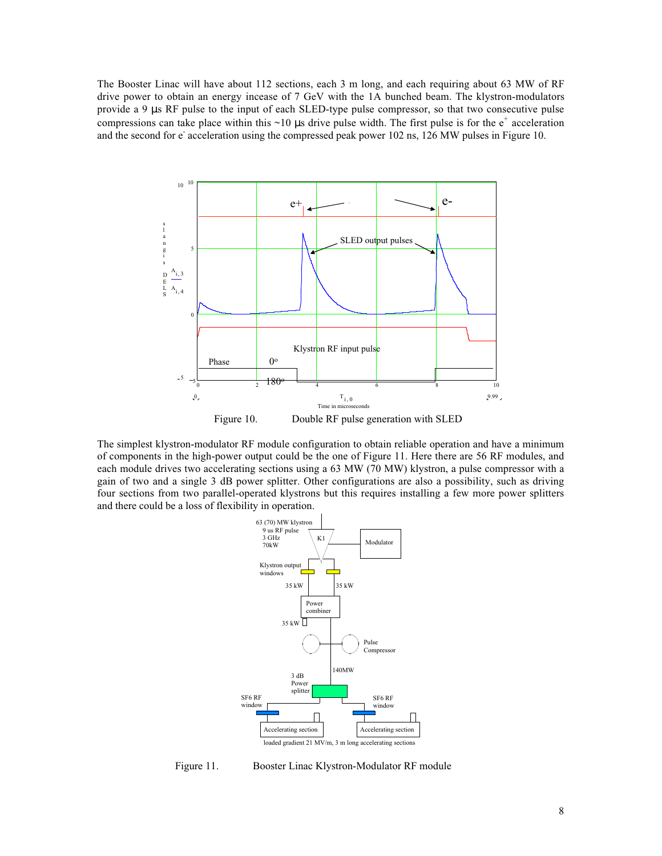The Booster Linac will have about 112 sections, each 3 m long, and each requiring about 63 MW of RF drive power to obtain an energy incease of 7 GeV with the 1A bunched beam. The klystron-modulators provide a 9 µs RF pulse to the input of each SLED-type pulse compressor, so that two consecutive pulse compressions can take place within this  $\sim$ 10 µs drive pulse width. The first pulse is for the  $e^+$  acceleration and the second for e<sup>-</sup> acceleration using the compressed peak power 102 ns, 126 MW pulses in Figure 10.



The simplest klystron-modulator RF module configuration to obtain reliable operation and have a minimum of components in the high-power output could be the one of Figure 11. Here there are 56 RF modules, and each module drives two accelerating sections using a 63 MW (70 MW) klystron, a pulse compressor with a gain of two and a single 3 dB power splitter. Other configurations are also a possibility, such as driving four sections from two parallel-operated klystrons but this requires installing a few more power splitters and there could be a loss of flexibility in operation.



Figure 11. Booster Linac Klystron-Modulator RF module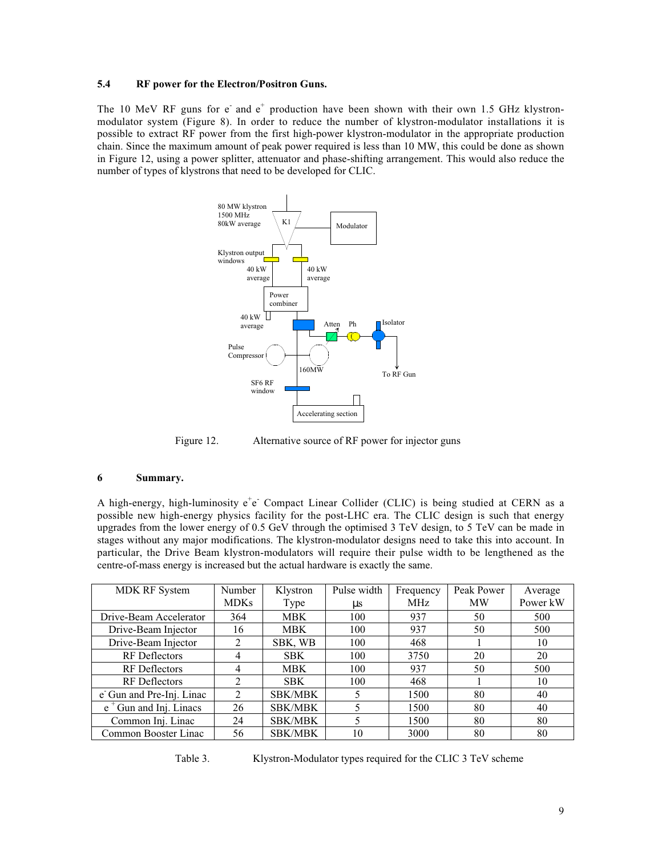### **5.4 RF power for the Electron/Positron Guns.**

The 10 MeV RF guns for  $e^-$  and  $e^+$  production have been shown with their own 1.5 GHz klystronmodulator system (Figure 8). In order to reduce the number of klystron-modulator installations it is possible to extract RF power from the first high-power klystron-modulator in the appropriate production chain. Since the maximum amount of peak power required is less than 10 MW, this could be done as shown in Figure 12, using a power splitter, attenuator and phase-shifting arrangement. This would also reduce the number of types of klystrons that need to be developed for CLIC.



Figure 12. Alternative source of RF power for injector guns

#### **6 Summary.**

A high-energy, high-luminosity e<sup>+</sup>e<sup>-</sup> Compact Linear Collider (CLIC) is being studied at CERN as a possible new high-energy physics facility for the post-LHC era. The CLIC design is such that energy upgrades from the lower energy of 0.5 GeV through the optimised 3 TeV design, to 5 TeV can be made in stages without any major modifications. The klystron-modulator designs need to take this into account. In particular, the Drive Beam klystron-modulators will require their pulse width to be lengthened as the centre-of-mass energy is increased but the actual hardware is exactly the same.

| <b>MDK RF System</b>      | <b>Number</b><br><b>MDKs</b> | Klystron<br>Type | Pulse width<br><b>us</b> | Frequency<br>MHz. | Peak Power<br><b>MW</b> | Average<br>Power kW |
|---------------------------|------------------------------|------------------|--------------------------|-------------------|-------------------------|---------------------|
| Drive-Beam Accelerator    | 364                          | <b>MBK</b>       | 100                      | 937               | 50                      | 500                 |
| Drive-Beam Injector       | 16                           | <b>MBK</b>       | 100                      | 937               | 50                      | 500                 |
| Drive-Beam Injector       | 2                            | SBK, WB          | 100                      | 468               |                         | 10                  |
| <b>RF</b> Deflectors      | 4                            | <b>SBK</b>       | 100                      | 3750              | 20                      | 20                  |
| RF Deflectors             | 4                            | <b>MBK</b>       | 100                      | 937               | 50                      | 500                 |
| <b>RF</b> Deflectors      | $\mathfrak{D}$               | <b>SBK</b>       | 100                      | 468               |                         | 10                  |
| e' Gun and Pre-Inj. Linac | $\mathfrak{D}$               | <b>SBK/MBK</b>   |                          | 1500              | 80                      | 40                  |
| $e^+$ Gun and Inj. Linacs | 26                           | <b>SBK/MBK</b>   |                          | 1500              | 80                      | 40                  |
| Common Inj. Linac         | 24                           | <b>SBK/MBK</b>   |                          | 1500              | 80                      | 80                  |
| Common Booster Linac      | 56                           | <b>SBK/MBK</b>   | 10                       | 3000              | 80                      | 80                  |

Table 3. Klystron-Modulator types required for the CLIC 3 TeV scheme